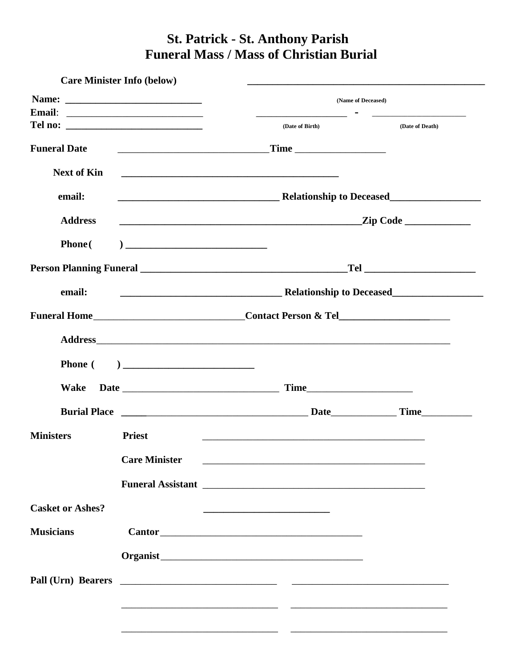## **St. Patrick - St. Anthony Parish Funeral Mass / Mass of Christian Burial**

|                         | <b>Care Minister Info (below)</b> |                                                                                                                                                                                                                                |                                                                                                                |
|-------------------------|-----------------------------------|--------------------------------------------------------------------------------------------------------------------------------------------------------------------------------------------------------------------------------|----------------------------------------------------------------------------------------------------------------|
|                         | (Name of Deceased)                |                                                                                                                                                                                                                                |                                                                                                                |
|                         |                                   | (Date of Birth)                                                                                                                                                                                                                | (Date of Death)                                                                                                |
| <b>Funeral Date</b>     |                                   |                                                                                                                                                                                                                                |                                                                                                                |
| <b>Next of Kin</b>      |                                   | <u> 2000 - Jan James James Barnett, amerikansk politik (d. 1888)</u>                                                                                                                                                           |                                                                                                                |
| email:                  |                                   |                                                                                                                                                                                                                                |                                                                                                                |
| <b>Address</b>          |                                   |                                                                                                                                                                                                                                |                                                                                                                |
| <b>Phone</b> (          |                                   |                                                                                                                                                                                                                                |                                                                                                                |
|                         |                                   |                                                                                                                                                                                                                                | Telectrical and the state of the state of the state of the state of the state of the state of the state of the |
| email:                  |                                   | <b>Example 2016</b> Relationship to Deceased                                                                                                                                                                                   |                                                                                                                |
|                         |                                   |                                                                                                                                                                                                                                |                                                                                                                |
|                         |                                   | Address and the contract of the contract of the contract of the contract of the contract of the contract of the contract of the contract of the contract of the contract of the contract of the contract of the contract of th |                                                                                                                |
| <b>Phone</b> (          |                                   |                                                                                                                                                                                                                                |                                                                                                                |
| Wake                    |                                   |                                                                                                                                                                                                                                |                                                                                                                |
|                         |                                   |                                                                                                                                                                                                                                |                                                                                                                |
| <b>Ministers</b>        | <b>Priest</b>                     | <u> 1989 - Johann Stein, mars an deutscher Stein und der Stein und der Stein und der Stein und der Stein und der</u>                                                                                                           |                                                                                                                |
|                         | <b>Care Minister</b>              |                                                                                                                                                                                                                                |                                                                                                                |
|                         |                                   |                                                                                                                                                                                                                                |                                                                                                                |
| <b>Casket or Ashes?</b> |                                   |                                                                                                                                                                                                                                |                                                                                                                |
| <b>Musicians</b>        |                                   |                                                                                                                                                                                                                                |                                                                                                                |
|                         |                                   |                                                                                                                                                                                                                                |                                                                                                                |
|                         |                                   |                                                                                                                                                                                                                                |                                                                                                                |
|                         |                                   |                                                                                                                                                                                                                                |                                                                                                                |
|                         |                                   |                                                                                                                                                                                                                                |                                                                                                                |